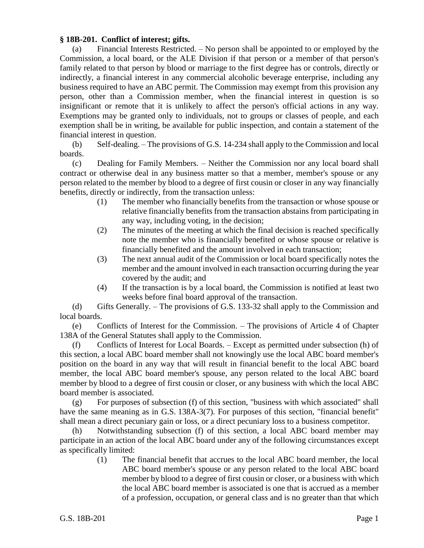## **§ 18B-201. Conflict of interest; gifts.**

(a) Financial Interests Restricted. – No person shall be appointed to or employed by the Commission, a local board, or the ALE Division if that person or a member of that person's family related to that person by blood or marriage to the first degree has or controls, directly or indirectly, a financial interest in any commercial alcoholic beverage enterprise, including any business required to have an ABC permit. The Commission may exempt from this provision any person, other than a Commission member, when the financial interest in question is so insignificant or remote that it is unlikely to affect the person's official actions in any way. Exemptions may be granted only to individuals, not to groups or classes of people, and each exemption shall be in writing, be available for public inspection, and contain a statement of the financial interest in question.

(b) Self-dealing. – The provisions of G.S. 14-234 shall apply to the Commission and local boards.

(c) Dealing for Family Members. – Neither the Commission nor any local board shall contract or otherwise deal in any business matter so that a member, member's spouse or any person related to the member by blood to a degree of first cousin or closer in any way financially benefits, directly or indirectly, from the transaction unless:

- (1) The member who financially benefits from the transaction or whose spouse or relative financially benefits from the transaction abstains from participating in any way, including voting, in the decision;
- (2) The minutes of the meeting at which the final decision is reached specifically note the member who is financially benefited or whose spouse or relative is financially benefited and the amount involved in each transaction;
- (3) The next annual audit of the Commission or local board specifically notes the member and the amount involved in each transaction occurring during the year covered by the audit; and
- (4) If the transaction is by a local board, the Commission is notified at least two weeks before final board approval of the transaction.

(d) Gifts Generally. – The provisions of G.S. 133-32 shall apply to the Commission and local boards.

(e) Conflicts of Interest for the Commission. – The provisions of Article 4 of Chapter 138A of the General Statutes shall apply to the Commission.

(f) Conflicts of Interest for Local Boards. – Except as permitted under subsection (h) of this section, a local ABC board member shall not knowingly use the local ABC board member's position on the board in any way that will result in financial benefit to the local ABC board member, the local ABC board member's spouse, any person related to the local ABC board member by blood to a degree of first cousin or closer, or any business with which the local ABC board member is associated.

 $(g)$  For purposes of subsection (f) of this section, "business with which associated" shall have the same meaning as in G.S. 138A-3(7). For purposes of this section, "financial benefit" shall mean a direct pecuniary gain or loss, or a direct pecuniary loss to a business competitor.

(h) Notwithstanding subsection (f) of this section, a local ABC board member may participate in an action of the local ABC board under any of the following circumstances except as specifically limited:

> (1) The financial benefit that accrues to the local ABC board member, the local ABC board member's spouse or any person related to the local ABC board member by blood to a degree of first cousin or closer, or a business with which the local ABC board member is associated is one that is accrued as a member of a profession, occupation, or general class and is no greater than that which